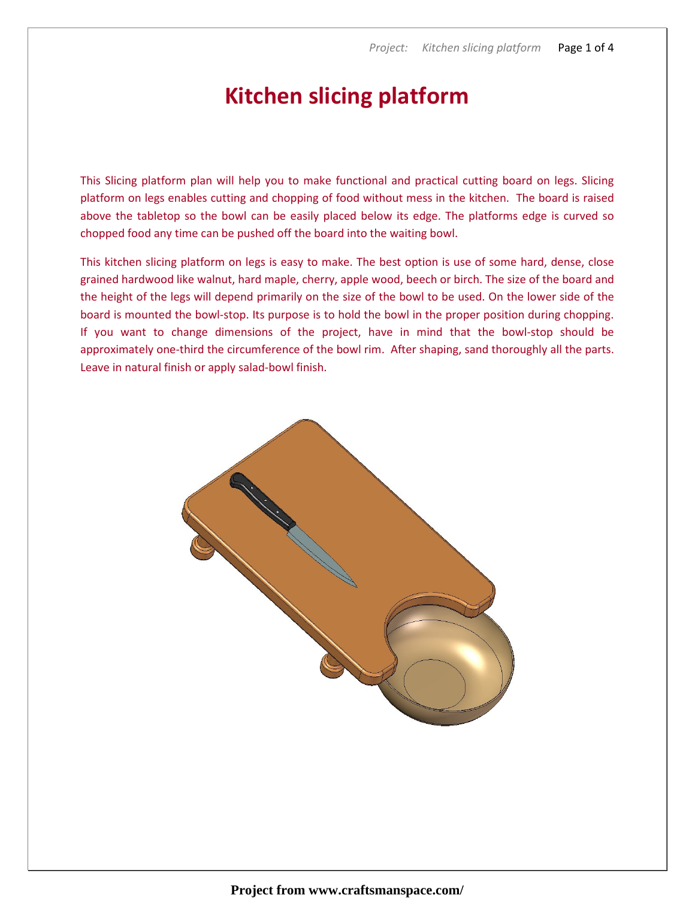## Kitchen slicing platform

This Slicing platform plan will help you to make functional and practical cutting board on legs. Slicing platform on legs enables cutting and chopping of food without mess in the kitchen. The board is raised above the tabletop so the bowl can be easily placed below its edge. The platforms edge is curved so chopped food any time can be pushed off the board into the waiting bowl.

This kitchen slicing platform on legs is easy to make. The best option is use of some hard, dense, close grained hardwood like walnut, hard maple, cherry, apple wood, beech or birch. The size of the board and the height of the legs will depend primarily on the size of the bowl to be used. On the lower side of the board is mounted the bowl-stop. Its purpose is to hold the bowl in the proper position during chopping. If you want to change dimensions of the project, have in mind that the bowl-stop should be approximately one-third the circumference of the bowl rim. After shaping, sand thoroughly all the parts. Leave in natural finish or apply salad-bowl finish.

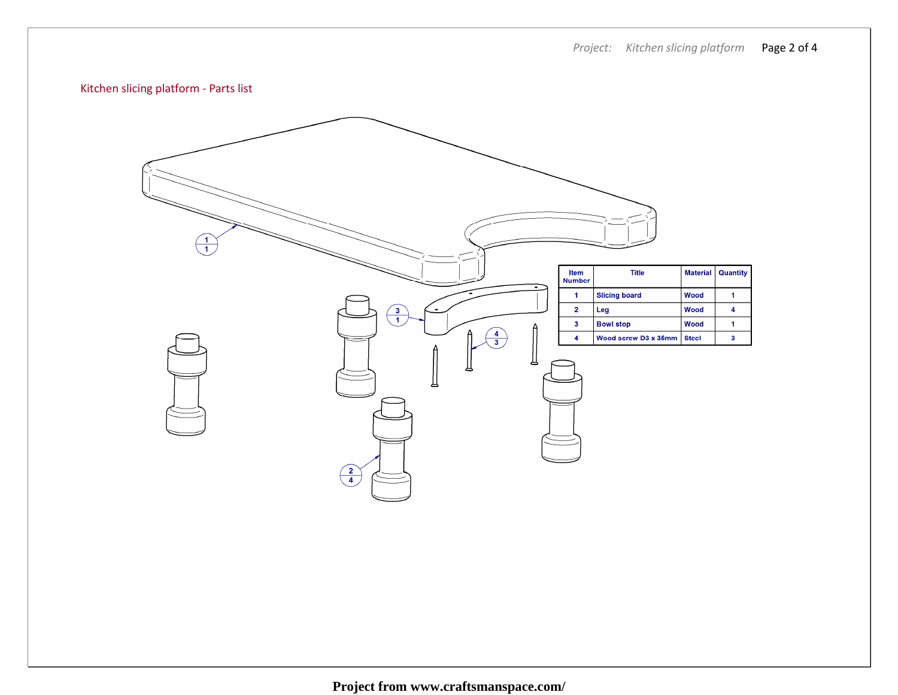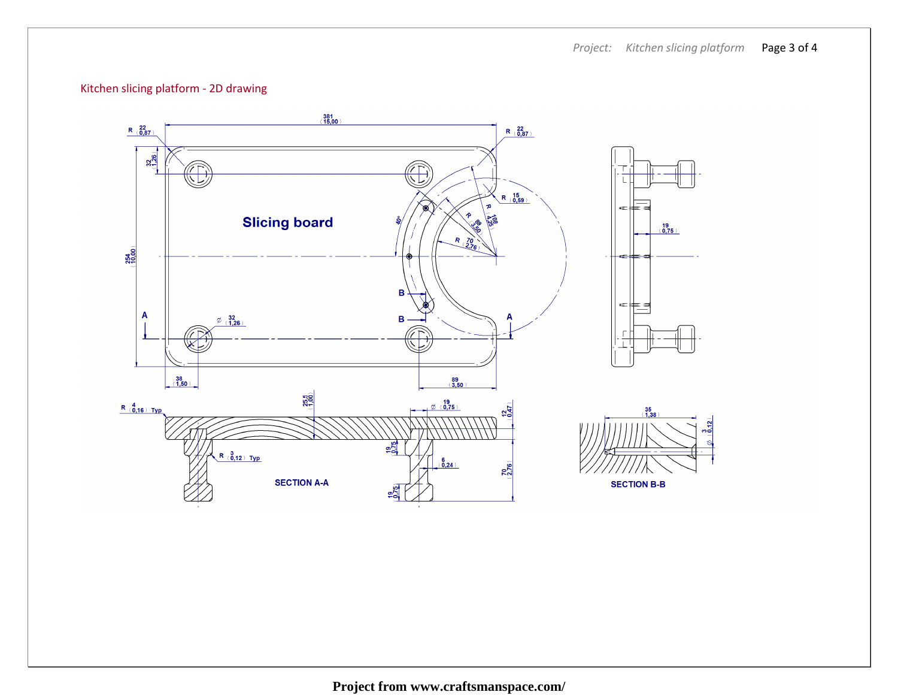## Kitchen slicing platform - 2D drawing